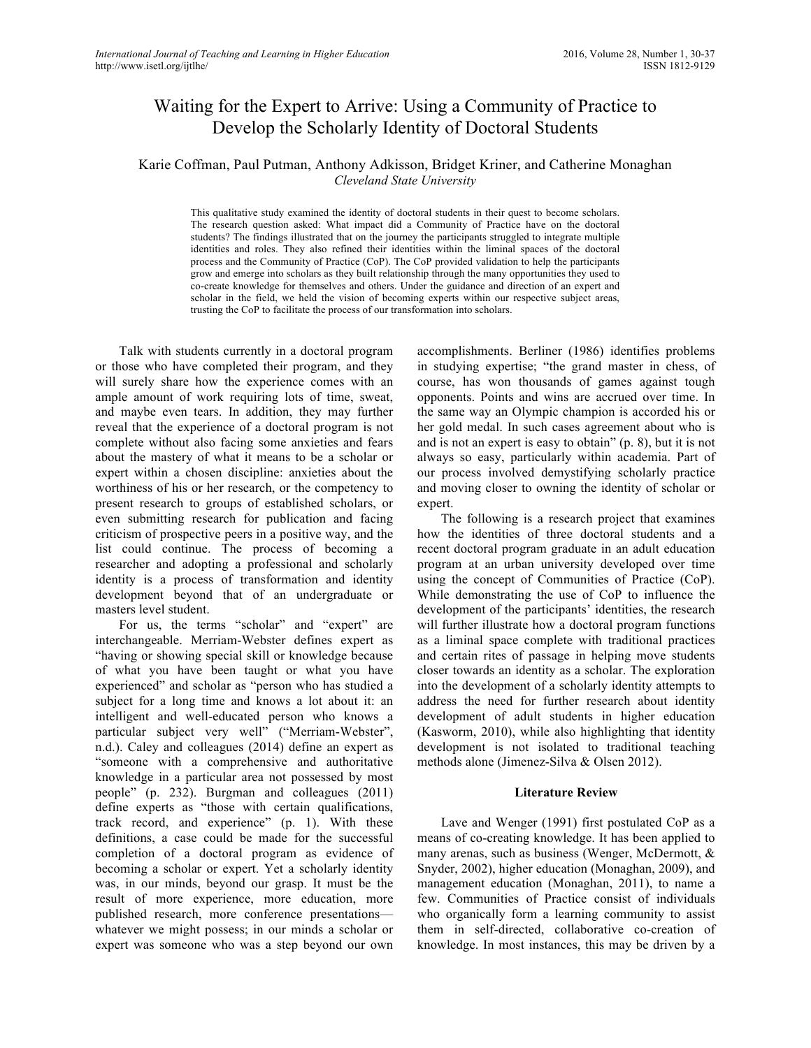# Waiting for the Expert to Arrive: Using a Community of Practice to Develop the Scholarly Identity of Doctoral Students

# Karie Coffman, Paul Putman, Anthony Adkisson, Bridget Kriner, and Catherine Monaghan *Cleveland State University*

This qualitative study examined the identity of doctoral students in their quest to become scholars. The research question asked: What impact did a Community of Practice have on the doctoral students? The findings illustrated that on the journey the participants struggled to integrate multiple identities and roles. They also refined their identities within the liminal spaces of the doctoral process and the Community of Practice (CoP). The CoP provided validation to help the participants grow and emerge into scholars as they built relationship through the many opportunities they used to co-create knowledge for themselves and others. Under the guidance and direction of an expert and scholar in the field, we held the vision of becoming experts within our respective subject areas, trusting the CoP to facilitate the process of our transformation into scholars.

Talk with students currently in a doctoral program or those who have completed their program, and they will surely share how the experience comes with an ample amount of work requiring lots of time, sweat, and maybe even tears. In addition, they may further reveal that the experience of a doctoral program is not complete without also facing some anxieties and fears about the mastery of what it means to be a scholar or expert within a chosen discipline: anxieties about the worthiness of his or her research, or the competency to present research to groups of established scholars, or even submitting research for publication and facing criticism of prospective peers in a positive way, and the list could continue. The process of becoming a researcher and adopting a professional and scholarly identity is a process of transformation and identity development beyond that of an undergraduate or masters level student.

For us, the terms "scholar" and "expert" are interchangeable. Merriam-Webster defines expert as "having or showing special skill or knowledge because of what you have been taught or what you have experienced" and scholar as "person who has studied a subject for a long time and knows a lot about it: an intelligent and well-educated person who knows a particular subject very well" ("Merriam-Webster", n.d.). Caley and colleagues (2014) define an expert as "someone with a comprehensive and authoritative knowledge in a particular area not possessed by most people" (p. 232). Burgman and colleagues (2011) define experts as "those with certain qualifications, track record, and experience" (p. 1). With these definitions, a case could be made for the successful completion of a doctoral program as evidence of becoming a scholar or expert. Yet a scholarly identity was, in our minds, beyond our grasp. It must be the result of more experience, more education, more published research, more conference presentations whatever we might possess; in our minds a scholar or expert was someone who was a step beyond our own

accomplishments. Berliner (1986) identifies problems in studying expertise; "the grand master in chess, of course, has won thousands of games against tough opponents. Points and wins are accrued over time. In the same way an Olympic champion is accorded his or her gold medal. In such cases agreement about who is and is not an expert is easy to obtain" (p. 8), but it is not always so easy, particularly within academia. Part of our process involved demystifying scholarly practice and moving closer to owning the identity of scholar or expert.

The following is a research project that examines how the identities of three doctoral students and a recent doctoral program graduate in an adult education program at an urban university developed over time using the concept of Communities of Practice (CoP). While demonstrating the use of CoP to influence the development of the participants' identities, the research will further illustrate how a doctoral program functions as a liminal space complete with traditional practices and certain rites of passage in helping move students closer towards an identity as a scholar. The exploration into the development of a scholarly identity attempts to address the need for further research about identity development of adult students in higher education (Kasworm, 2010), while also highlighting that identity development is not isolated to traditional teaching methods alone (Jimenez-Silva & Olsen 2012).

### **Literature Review**

Lave and Wenger (1991) first postulated CoP as a means of co-creating knowledge. It has been applied to many arenas, such as business (Wenger, McDermott, & Snyder, 2002), higher education (Monaghan, 2009), and management education (Monaghan, 2011), to name a few. Communities of Practice consist of individuals who organically form a learning community to assist them in self-directed, collaborative co-creation of knowledge. In most instances, this may be driven by a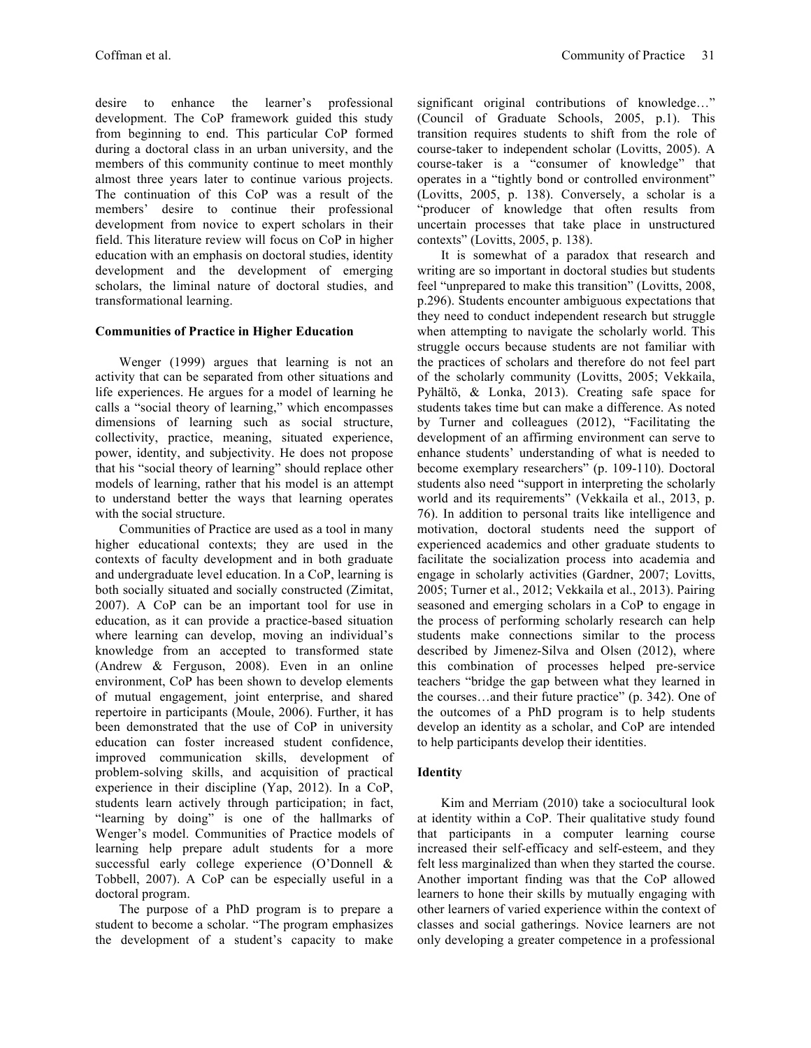desire to enhance the learner's professional development. The CoP framework guided this study from beginning to end. This particular CoP formed during a doctoral class in an urban university, and the members of this community continue to meet monthly almost three years later to continue various projects. The continuation of this CoP was a result of the members' desire to continue their professional development from novice to expert scholars in their field. This literature review will focus on CoP in higher education with an emphasis on doctoral studies, identity development and the development of emerging scholars, the liminal nature of doctoral studies, and transformational learning.

# **Communities of Practice in Higher Education**

Wenger (1999) argues that learning is not an activity that can be separated from other situations and life experiences. He argues for a model of learning he calls a "social theory of learning," which encompasses dimensions of learning such as social structure, collectivity, practice, meaning, situated experience, power, identity, and subjectivity. He does not propose that his "social theory of learning" should replace other models of learning, rather that his model is an attempt to understand better the ways that learning operates with the social structure.

Communities of Practice are used as a tool in many higher educational contexts; they are used in the contexts of faculty development and in both graduate and undergraduate level education. In a CoP, learning is both socially situated and socially constructed (Zimitat, 2007). A CoP can be an important tool for use in education, as it can provide a practice-based situation where learning can develop, moving an individual's knowledge from an accepted to transformed state (Andrew & Ferguson, 2008). Even in an online environment, CoP has been shown to develop elements of mutual engagement, joint enterprise, and shared repertoire in participants (Moule, 2006). Further, it has been demonstrated that the use of CoP in university education can foster increased student confidence, improved communication skills, development of problem-solving skills, and acquisition of practical experience in their discipline (Yap, 2012). In a CoP, students learn actively through participation; in fact, "learning by doing" is one of the hallmarks of Wenger's model. Communities of Practice models of learning help prepare adult students for a more successful early college experience (O'Donnell & Tobbell, 2007). A CoP can be especially useful in a doctoral program.

The purpose of a PhD program is to prepare a student to become a scholar. "The program emphasizes the development of a student's capacity to make significant original contributions of knowledge…" (Council of Graduate Schools, 2005, p.1). This transition requires students to shift from the role of course-taker to independent scholar (Lovitts, 2005). A course-taker is a "consumer of knowledge" that operates in a "tightly bond or controlled environment" (Lovitts, 2005, p. 138). Conversely, a scholar is a "producer of knowledge that often results from uncertain processes that take place in unstructured contexts" (Lovitts, 2005, p. 138).

It is somewhat of a paradox that research and writing are so important in doctoral studies but students feel "unprepared to make this transition" (Lovitts, 2008, p.296). Students encounter ambiguous expectations that they need to conduct independent research but struggle when attempting to navigate the scholarly world. This struggle occurs because students are not familiar with the practices of scholars and therefore do not feel part of the scholarly community (Lovitts, 2005; Vekkaila, Pyhältö, & Lonka, 2013). Creating safe space for students takes time but can make a difference. As noted by Turner and colleagues (2012), "Facilitating the development of an affirming environment can serve to enhance students' understanding of what is needed to become exemplary researchers" (p. 109-110). Doctoral students also need "support in interpreting the scholarly world and its requirements" (Vekkaila et al., 2013, p. 76). In addition to personal traits like intelligence and motivation, doctoral students need the support of experienced academics and other graduate students to facilitate the socialization process into academia and engage in scholarly activities (Gardner, 2007; Lovitts, 2005; Turner et al., 2012; Vekkaila et al., 2013). Pairing seasoned and emerging scholars in a CoP to engage in the process of performing scholarly research can help students make connections similar to the process described by Jimenez-Silva and Olsen (2012), where this combination of processes helped pre-service teachers "bridge the gap between what they learned in the courses…and their future practice" (p. 342). One of the outcomes of a PhD program is to help students develop an identity as a scholar, and CoP are intended to help participants develop their identities.

# **Identity**

Kim and Merriam (2010) take a sociocultural look at identity within a CoP. Their qualitative study found that participants in a computer learning course increased their self-efficacy and self-esteem, and they felt less marginalized than when they started the course. Another important finding was that the CoP allowed learners to hone their skills by mutually engaging with other learners of varied experience within the context of classes and social gatherings. Novice learners are not only developing a greater competence in a professional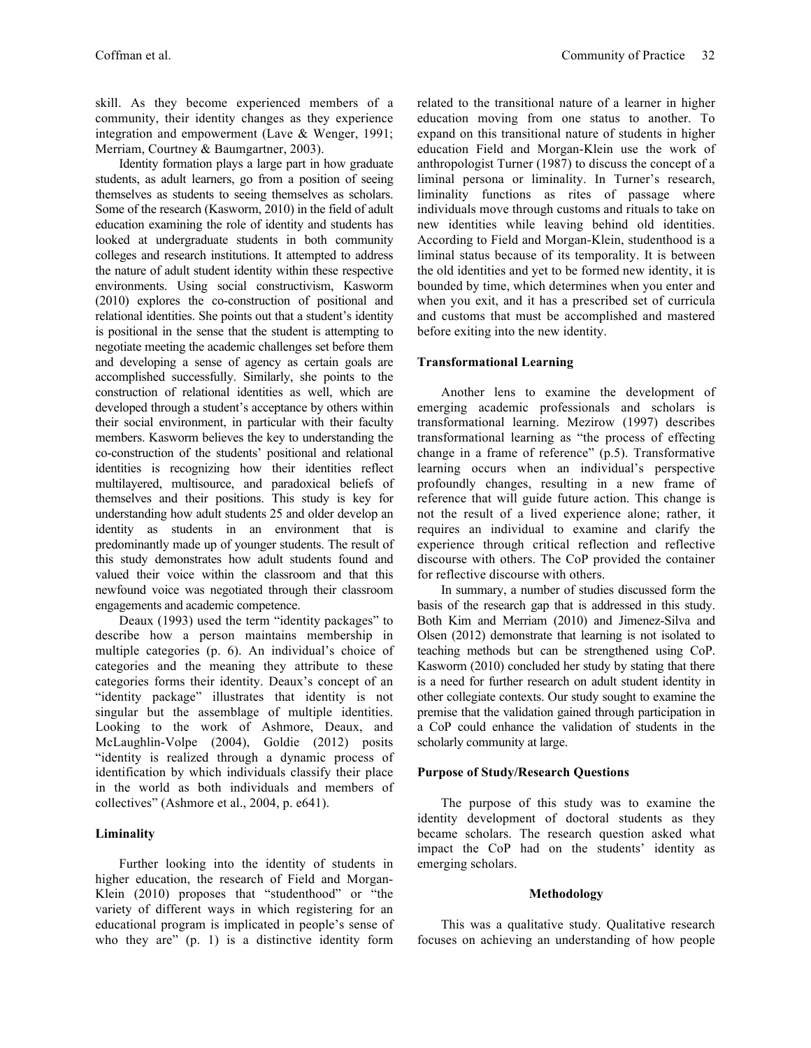skill. As they become experienced members of a community, their identity changes as they experience integration and empowerment (Lave & Wenger, 1991; Merriam, Courtney & Baumgartner, 2003).

Identity formation plays a large part in how graduate students, as adult learners, go from a position of seeing themselves as students to seeing themselves as scholars. Some of the research (Kasworm, 2010) in the field of adult education examining the role of identity and students has looked at undergraduate students in both community colleges and research institutions. It attempted to address the nature of adult student identity within these respective environments. Using social constructivism, Kasworm (2010) explores the co-construction of positional and relational identities. She points out that a student's identity is positional in the sense that the student is attempting to negotiate meeting the academic challenges set before them and developing a sense of agency as certain goals are accomplished successfully. Similarly, she points to the construction of relational identities as well, which are developed through a student's acceptance by others within their social environment, in particular with their faculty members. Kasworm believes the key to understanding the co-construction of the students' positional and relational identities is recognizing how their identities reflect multilayered, multisource, and paradoxical beliefs of themselves and their positions. This study is key for understanding how adult students 25 and older develop an identity as students in an environment that is predominantly made up of younger students. The result of this study demonstrates how adult students found and valued their voice within the classroom and that this newfound voice was negotiated through their classroom engagements and academic competence.

Deaux (1993) used the term "identity packages" to describe how a person maintains membership in multiple categories (p. 6). An individual's choice of categories and the meaning they attribute to these categories forms their identity. Deaux's concept of an "identity package" illustrates that identity is not singular but the assemblage of multiple identities. Looking to the work of Ashmore, Deaux, and McLaughlin-Volpe (2004), Goldie (2012) posits "identity is realized through a dynamic process of identification by which individuals classify their place in the world as both individuals and members of collectives" (Ashmore et al., 2004, p. e641).

### **Liminality**

Further looking into the identity of students in higher education, the research of Field and Morgan-Klein (2010) proposes that "studenthood" or "the variety of different ways in which registering for an educational program is implicated in people's sense of who they are" (p. 1) is a distinctive identity form

related to the transitional nature of a learner in higher education moving from one status to another. To expand on this transitional nature of students in higher education Field and Morgan-Klein use the work of anthropologist Turner (1987) to discuss the concept of a liminal persona or liminality. In Turner's research, liminality functions as rites of passage where individuals move through customs and rituals to take on new identities while leaving behind old identities. According to Field and Morgan-Klein, studenthood is a liminal status because of its temporality. It is between the old identities and yet to be formed new identity, it is bounded by time, which determines when you enter and when you exit, and it has a prescribed set of curricula and customs that must be accomplished and mastered before exiting into the new identity.

### **Transformational Learning**

Another lens to examine the development of emerging academic professionals and scholars is transformational learning. Mezirow (1997) describes transformational learning as "the process of effecting change in a frame of reference" (p.5). Transformative learning occurs when an individual's perspective profoundly changes, resulting in a new frame of reference that will guide future action. This change is not the result of a lived experience alone; rather, it requires an individual to examine and clarify the experience through critical reflection and reflective discourse with others. The CoP provided the container for reflective discourse with others.

In summary, a number of studies discussed form the basis of the research gap that is addressed in this study. Both Kim and Merriam (2010) and Jimenez-Silva and Olsen (2012) demonstrate that learning is not isolated to teaching methods but can be strengthened using CoP. Kasworm (2010) concluded her study by stating that there is a need for further research on adult student identity in other collegiate contexts. Our study sought to examine the premise that the validation gained through participation in a CoP could enhance the validation of students in the scholarly community at large.

### **Purpose of Study/Research Questions**

The purpose of this study was to examine the identity development of doctoral students as they became scholars. The research question asked what impact the CoP had on the students' identity as emerging scholars.

#### **Methodology**

This was a qualitative study. Qualitative research focuses on achieving an understanding of how people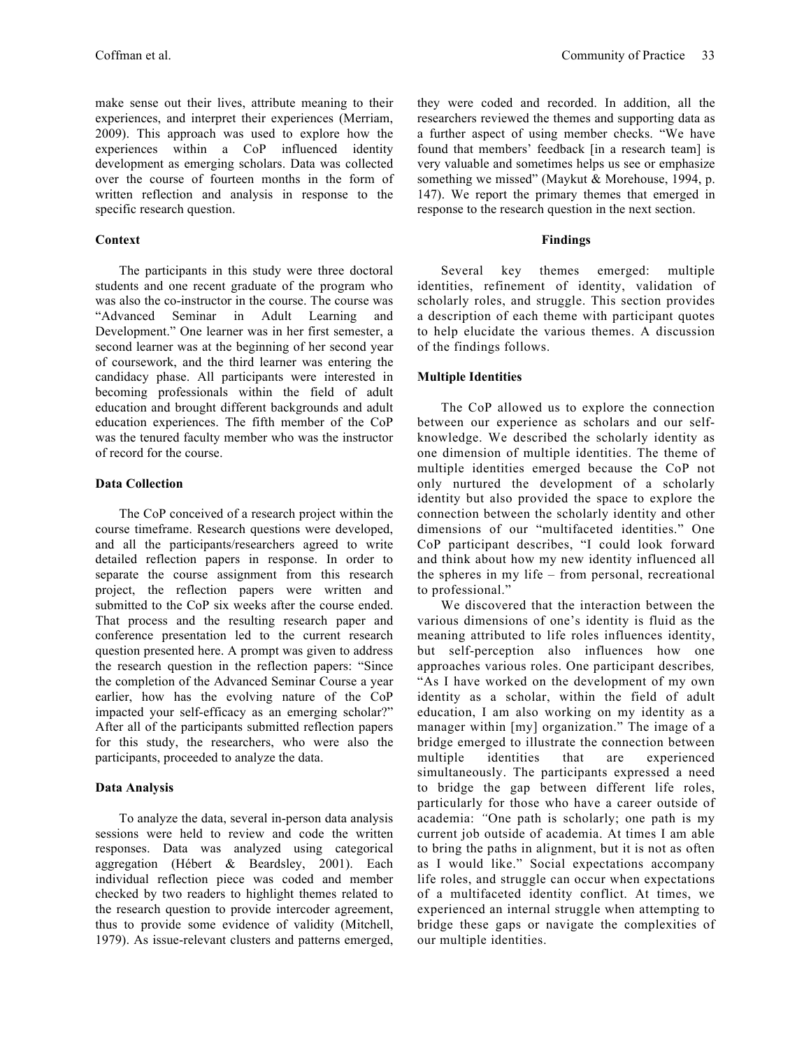make sense out their lives, attribute meaning to their experiences, and interpret their experiences (Merriam, 2009). This approach was used to explore how the experiences within a CoP influenced identity development as emerging scholars. Data was collected over the course of fourteen months in the form of written reflection and analysis in response to the specific research question.

# **Context**

The participants in this study were three doctoral students and one recent graduate of the program who was also the co-instructor in the course. The course was "Advanced Seminar in Adult Learning and Development." One learner was in her first semester, a second learner was at the beginning of her second year of coursework, and the third learner was entering the candidacy phase. All participants were interested in becoming professionals within the field of adult education and brought different backgrounds and adult education experiences. The fifth member of the CoP was the tenured faculty member who was the instructor of record for the course.

# **Data Collection**

The CoP conceived of a research project within the course timeframe. Research questions were developed, and all the participants/researchers agreed to write detailed reflection papers in response. In order to separate the course assignment from this research project, the reflection papers were written and submitted to the CoP six weeks after the course ended. That process and the resulting research paper and conference presentation led to the current research question presented here. A prompt was given to address the research question in the reflection papers: "Since the completion of the Advanced Seminar Course a year earlier, how has the evolving nature of the CoP impacted your self-efficacy as an emerging scholar?" After all of the participants submitted reflection papers for this study, the researchers, who were also the participants, proceeded to analyze the data.

# **Data Analysis**

To analyze the data, several in-person data analysis sessions were held to review and code the written responses. Data was analyzed using categorical aggregation (Hébert & Beardsley, 2001). Each individual reflection piece was coded and member checked by two readers to highlight themes related to the research question to provide intercoder agreement, thus to provide some evidence of validity (Mitchell, 1979). As issue-relevant clusters and patterns emerged, they were coded and recorded. In addition, all the researchers reviewed the themes and supporting data as a further aspect of using member checks. "We have found that members' feedback [in a research team] is very valuable and sometimes helps us see or emphasize something we missed" (Maykut & Morehouse, 1994, p. 147). We report the primary themes that emerged in response to the research question in the next section.

# **Findings**

Several key themes emerged: multiple identities, refinement of identity, validation of scholarly roles, and struggle. This section provides a description of each theme with participant quotes to help elucidate the various themes. A discussion of the findings follows.

# **Multiple Identities**

The CoP allowed us to explore the connection between our experience as scholars and our selfknowledge. We described the scholarly identity as one dimension of multiple identities. The theme of multiple identities emerged because the CoP not only nurtured the development of a scholarly identity but also provided the space to explore the connection between the scholarly identity and other dimensions of our "multifaceted identities." One CoP participant describes, "I could look forward and think about how my new identity influenced all the spheres in my life – from personal, recreational to professional."

We discovered that the interaction between the various dimensions of one's identity is fluid as the meaning attributed to life roles influences identity, but self-perception also influences how one approaches various roles. One participant describes*,*  "As I have worked on the development of my own identity as a scholar, within the field of adult education, I am also working on my identity as a manager within [my] organization." The image of a bridge emerged to illustrate the connection between multiple identities that are experienced simultaneously. The participants expressed a need to bridge the gap between different life roles, particularly for those who have a career outside of academia: *"*One path is scholarly; one path is my current job outside of academia. At times I am able to bring the paths in alignment, but it is not as often as I would like." Social expectations accompany life roles, and struggle can occur when expectations of a multifaceted identity conflict. At times, we experienced an internal struggle when attempting to bridge these gaps or navigate the complexities of our multiple identities.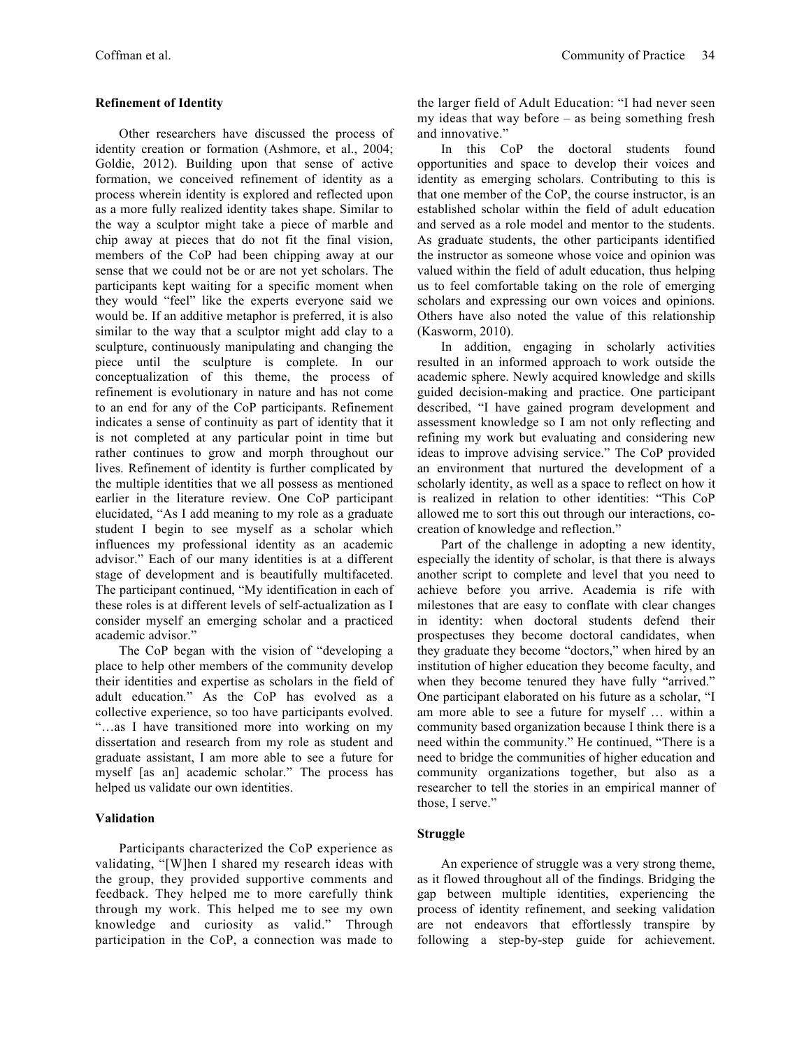# **Refinement of Identity**

Other researchers have discussed the process of identity creation or formation (Ashmore, et al., 2004; Goldie, 2012). Building upon that sense of active formation, we conceived refinement of identity as a process wherein identity is explored and reflected upon as a more fully realized identity takes shape. Similar to the way a sculptor might take a piece of marble and chip away at pieces that do not fit the final vision, members of the CoP had been chipping away at our sense that we could not be or are not yet scholars. The participants kept waiting for a specific moment when they would "feel" like the experts everyone said we would be. If an additive metaphor is preferred, it is also similar to the way that a sculptor might add clay to a sculpture, continuously manipulating and changing the piece until the sculpture is complete. In our conceptualization of this theme, the process of refinement is evolutionary in nature and has not come to an end for any of the CoP participants. Refinement indicates a sense of continuity as part of identity that it is not completed at any particular point in time but rather continues to grow and morph throughout our lives. Refinement of identity is further complicated by the multiple identities that we all possess as mentioned earlier in the literature review. One CoP participant elucidated, "As I add meaning to my role as a graduate student I begin to see myself as a scholar which influences my professional identity as an academic advisor." Each of our many identities is at a different stage of development and is beautifully multifaceted. The participant continued, "My identification in each of these roles is at different levels of self-actualization as I consider myself an emerging scholar and a practiced academic advisor."

The CoP began with the vision of "developing a place to help other members of the community develop their identities and expertise as scholars in the field of adult education*.*" As the CoP has evolved as a collective experience, so too have participants evolved. "…as I have transitioned more into working on my dissertation and research from my role as student and graduate assistant, I am more able to see a future for myself [as an] academic scholar." The process has helped us validate our own identities.

# **Validation**

Participants characterized the CoP experience as validating, "[W]hen I shared my research ideas with the group, they provided supportive comments and feedback. They helped me to more carefully think through my work. This helped me to see my own knowledge and curiosity as valid." Through participation in the CoP, a connection was made to

the larger field of Adult Education: "I had never seen my ideas that way before – as being something fresh and innovative."

In this CoP the doctoral students found opportunities and space to develop their voices and identity as emerging scholars. Contributing to this is that one member of the CoP, the course instructor, is an established scholar within the field of adult education and served as a role model and mentor to the students. As graduate students, the other participants identified the instructor as someone whose voice and opinion was valued within the field of adult education, thus helping us to feel comfortable taking on the role of emerging scholars and expressing our own voices and opinions. Others have also noted the value of this relationship (Kasworm, 2010).

In addition, engaging in scholarly activities resulted in an informed approach to work outside the academic sphere. Newly acquired knowledge and skills guided decision-making and practice. One participant described, "I have gained program development and assessment knowledge so I am not only reflecting and refining my work but evaluating and considering new ideas to improve advising service." The CoP provided an environment that nurtured the development of a scholarly identity, as well as a space to reflect on how it is realized in relation to other identities: "This CoP allowed me to sort this out through our interactions, cocreation of knowledge and reflection."

Part of the challenge in adopting a new identity, especially the identity of scholar, is that there is always another script to complete and level that you need to achieve before you arrive. Academia is rife with milestones that are easy to conflate with clear changes in identity: when doctoral students defend their prospectuses they become doctoral candidates, when they graduate they become "doctors," when hired by an institution of higher education they become faculty, and when they become tenured they have fully "arrived." One participant elaborated on his future as a scholar, "I am more able to see a future for myself … within a community based organization because I think there is a need within the community." He continued, "There is a need to bridge the communities of higher education and community organizations together, but also as a researcher to tell the stories in an empirical manner of those, I serve."

# **Struggle**

An experience of struggle was a very strong theme, as it flowed throughout all of the findings. Bridging the gap between multiple identities, experiencing the process of identity refinement, and seeking validation are not endeavors that effortlessly transpire by following a step-by-step guide for achievement.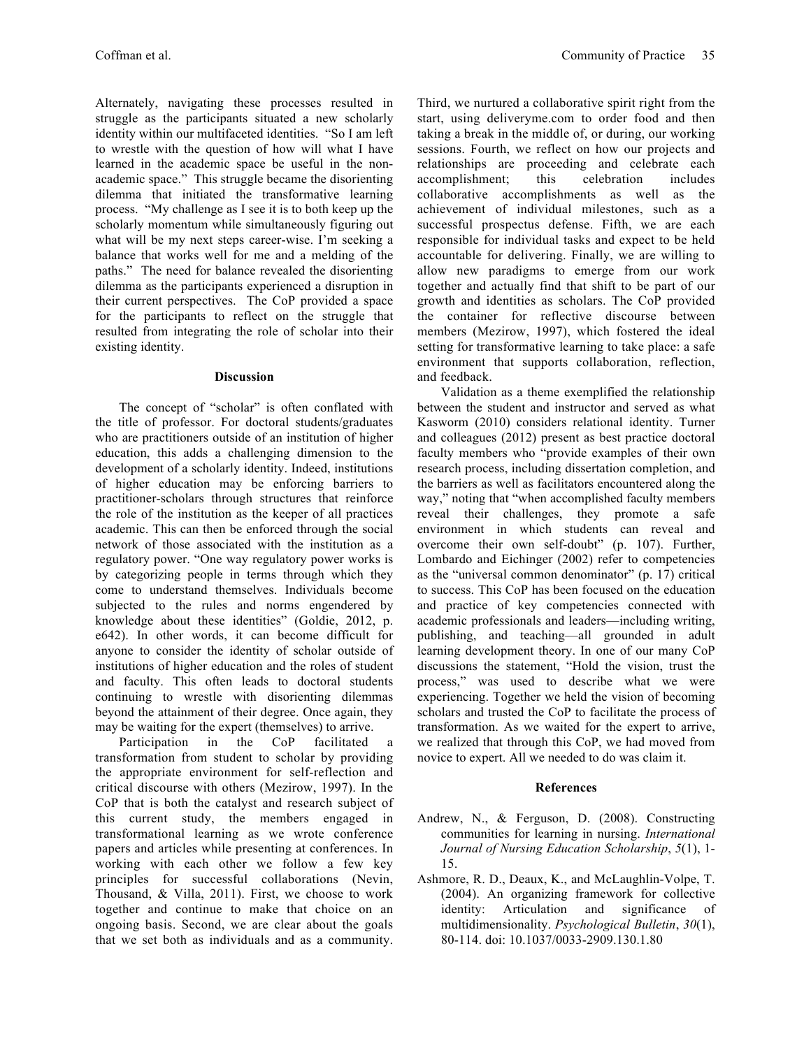Alternately, navigating these processes resulted in struggle as the participants situated a new scholarly identity within our multifaceted identities. "So I am left to wrestle with the question of how will what I have learned in the academic space be useful in the nonacademic space." This struggle became the disorienting dilemma that initiated the transformative learning process. "My challenge as I see it is to both keep up the scholarly momentum while simultaneously figuring out what will be my next steps career-wise. I'm seeking a balance that works well for me and a melding of the paths." The need for balance revealed the disorienting dilemma as the participants experienced a disruption in their current perspectives. The CoP provided a space for the participants to reflect on the struggle that resulted from integrating the role of scholar into their existing identity.

### **Discussion**

The concept of "scholar" is often conflated with the title of professor. For doctoral students/graduates who are practitioners outside of an institution of higher education, this adds a challenging dimension to the development of a scholarly identity. Indeed, institutions of higher education may be enforcing barriers to practitioner-scholars through structures that reinforce the role of the institution as the keeper of all practices academic. This can then be enforced through the social network of those associated with the institution as a regulatory power. "One way regulatory power works is by categorizing people in terms through which they come to understand themselves. Individuals become subjected to the rules and norms engendered by knowledge about these identities" (Goldie, 2012, p. e642). In other words, it can become difficult for anyone to consider the identity of scholar outside of institutions of higher education and the roles of student and faculty. This often leads to doctoral students continuing to wrestle with disorienting dilemmas beyond the attainment of their degree. Once again, they may be waiting for the expert (themselves) to arrive.

Participation in the CoP facilitated a transformation from student to scholar by providing the appropriate environment for self-reflection and critical discourse with others (Mezirow, 1997). In the CoP that is both the catalyst and research subject of this current study, the members engaged in transformational learning as we wrote conference papers and articles while presenting at conferences. In working with each other we follow a few key principles for successful collaborations (Nevin, Thousand, & Villa, 2011). First, we choose to work together and continue to make that choice on an ongoing basis. Second, we are clear about the goals that we set both as individuals and as a community.

Third, we nurtured a collaborative spirit right from the start, using deliveryme.com to order food and then taking a break in the middle of, or during, our working sessions. Fourth, we reflect on how our projects and relationships are proceeding and celebrate each accomplishment; this celebration includes collaborative accomplishments as well as the achievement of individual milestones, such as a successful prospectus defense. Fifth, we are each responsible for individual tasks and expect to be held accountable for delivering. Finally, we are willing to allow new paradigms to emerge from our work together and actually find that shift to be part of our growth and identities as scholars. The CoP provided the container for reflective discourse between members (Mezirow, 1997), which fostered the ideal setting for transformative learning to take place: a safe environment that supports collaboration, reflection, and feedback.

Validation as a theme exemplified the relationship between the student and instructor and served as what Kasworm (2010) considers relational identity. Turner and colleagues (2012) present as best practice doctoral faculty members who "provide examples of their own research process, including dissertation completion, and the barriers as well as facilitators encountered along the way," noting that "when accomplished faculty members reveal their challenges, they promote a safe environment in which students can reveal and overcome their own self-doubt" (p. 107). Further, Lombardo and Eichinger (2002) refer to competencies as the "universal common denominator" (p. 17) critical to success. This CoP has been focused on the education and practice of key competencies connected with academic professionals and leaders—including writing, publishing, and teaching—all grounded in adult learning development theory. In one of our many CoP discussions the statement, "Hold the vision, trust the process," was used to describe what we were experiencing. Together we held the vision of becoming scholars and trusted the CoP to facilitate the process of transformation. As we waited for the expert to arrive, we realized that through this CoP, we had moved from novice to expert. All we needed to do was claim it.

### **References**

- Andrew, N., & Ferguson, D. (2008). Constructing communities for learning in nursing. *International Journal of Nursing Education Scholarship*, *5*(1), 1- 15.
- Ashmore, R. D., Deaux, K., and McLaughlin-Volpe, T. (2004). An organizing framework for collective identity: Articulation and significance of multidimensionality. *Psychological Bulletin*, *30*(1), 80-114. doi: 10.1037/0033-2909.130.1.80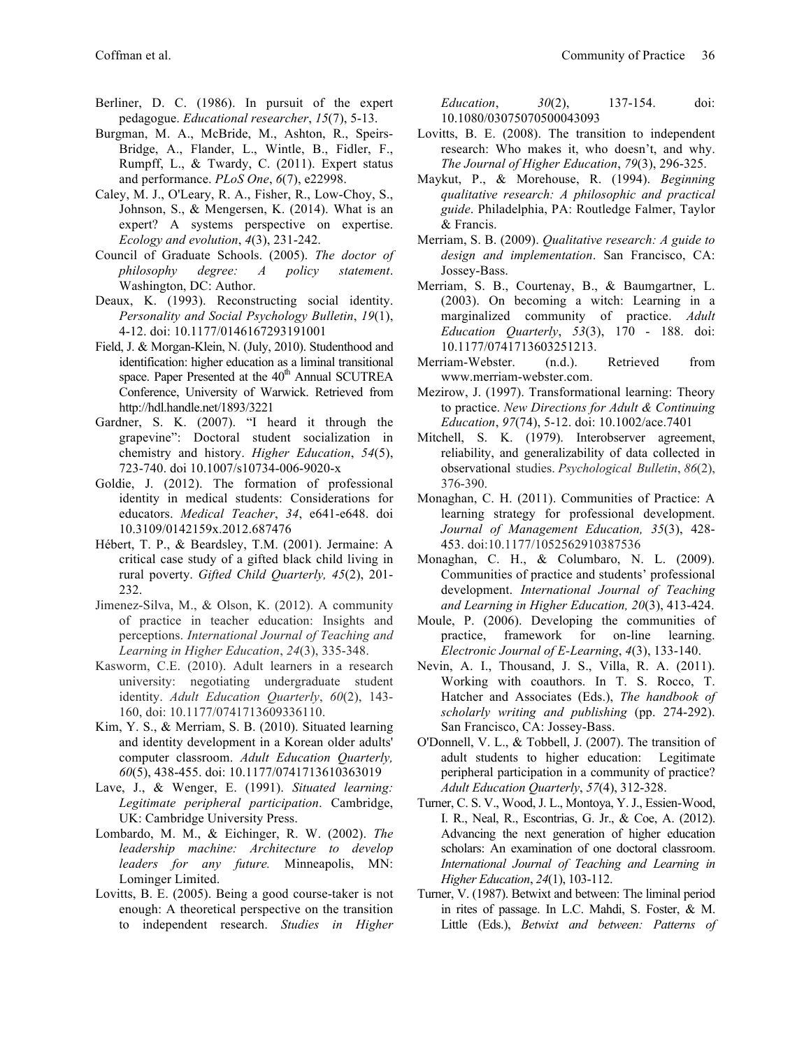- Berliner, D. C. (1986). In pursuit of the expert pedagogue. *Educational researcher*, *15*(7), 5-13.
- Burgman, M. A., McBride, M., Ashton, R., Speirs-Bridge, A., Flander, L., Wintle, B., Fidler, F., Rumpff, L., & Twardy, C. (2011). Expert status and performance. *PLoS One*, *6*(7), e22998.
- Caley, M. J., O'Leary, R. A., Fisher, R., Low-Choy, S., Johnson, S., & Mengersen, K. (2014). What is an expert? A systems perspective on expertise. *Ecology and evolution*, *4*(3), 231-242.
- Council of Graduate Schools. (2005). *The doctor of philosophy degree: A policy statement*. Washington, DC: Author.
- Deaux, K. (1993). Reconstructing social identity. *Personality and Social Psychology Bulletin*, *19*(1), 4-12. doi: 10.1177/0146167293191001
- Field, J. & Morgan-Klein, N. (July, 2010). Studenthood and identification: higher education as a liminal transitional space. Paper Presented at the 40<sup>th</sup> Annual SCUTREA Conference, University of Warwick. Retrieved from http://hdl.handle.net/1893/3221
- Gardner, S. K. (2007). "I heard it through the grapevine": Doctoral student socialization in chemistry and history. *Higher Education*, *54*(5), 723-740. doi 10.1007/s10734-006-9020-x
- Goldie, J. (2012). The formation of professional identity in medical students: Considerations for educators. *Medical Teacher*, *34*, e641-e648. doi 10.3109/0142159x.2012.687476
- Hébert, T. P., & Beardsley, T.M. (2001). Jermaine: A critical case study of a gifted black child living in rural poverty. *Gifted Child Quarterly, 45*(2), 201- 232.
- Jimenez-Silva, M., & Olson, K. (2012). A community of practice in teacher education: Insights and perceptions. *International Journal of Teaching and Learning in Higher Education*, *24*(3), 335-348.
- Kasworm, C.E. (2010). Adult learners in a research university: negotiating undergraduate student identity. *Adult Education Quarterly*, *60*(2), 143- 160, doi: 10.1177/0741713609336110.
- Kim, Y. S., & Merriam, S. B. (2010). Situated learning and identity development in a Korean older adults' computer classroom. *Adult Education Quarterly, 60*(5), 438-455. doi: 10.1177/0741713610363019
- Lave, J., & Wenger, E. (1991). *Situated learning: Legitimate peripheral participation*. Cambridge, UK: Cambridge University Press.
- Lombardo, M. M., & Eichinger, R. W. (2002). *The leadership machine: Architecture to develop leaders for any future.* Minneapolis, MN: Lominger Limited.
- Lovitts, B. E. (2005). Being a good course-taker is not enough: A theoretical perspective on the transition to independent research. *Studies in Higher*

*Education*, *30*(2), 137-154. doi: 10.1080/03075070500043093

- Lovitts, B. E. (2008). The transition to independent research: Who makes it, who doesn't, and why. *The Journal of Higher Education*, *79*(3), 296-325.
- Maykut, P., & Morehouse, R. (1994). *Beginning qualitative research: A philosophic and practical guide*. Philadelphia, PA: Routledge Falmer, Taylor & Francis.
- Merriam, S. B. (2009). *Qualitative research: A guide to design and implementation*. San Francisco, CA: Jossey-Bass.
- Merriam, S. B., Courtenay, B., & Baumgartner, L. (2003). On becoming a witch: Learning in a marginalized community of practice. *Adult Education Quarterly*, *53*(3), 170 - 188. doi: 10.1177/0741713603251213.
- Merriam-Webster. (n.d.). Retrieved from www.merriam-webster.com.
- Mezirow, J. (1997). Transformational learning: Theory to practice. *New Directions for Adult & Continuing Education*, *97*(74), 5-12. doi: 10.1002/ace.7401
- Mitchell, S. K. (1979). Interobserver agreement, reliability, and generalizability of data collected in observational studies. *Psychological Bulletin*, *86*(2), 376-390.
- Monaghan, C. H. (2011). Communities of Practice: A learning strategy for professional development. *Journal of Management Education, 35*(3), 428- 453. doi:10.1177/1052562910387536
- Monaghan, C. H., & Columbaro, N. L. (2009). Communities of practice and students' professional development. *International Journal of Teaching and Learning in Higher Education, 20*(3), 413-424.
- Moule, P. (2006). Developing the communities of practice, framework for on-line learning. *Electronic Journal of E-Learning*, *4*(3), 133-140.
- Nevin, A. I., Thousand, J. S., Villa, R. A. (2011). Working with coauthors. In T. S. Rocco, T. Hatcher and Associates (Eds.), *The handbook of scholarly writing and publishing* (pp. 274-292). San Francisco, CA: Jossey-Bass.
- O'Donnell, V. L., & Tobbell, J. (2007). The transition of adult students to higher education: Legitimate peripheral participation in a community of practice? *Adult Education Quarterly*, *57*(4), 312-328.
- Turner, C. S. V., Wood, J. L., Montoya, Y. J., Essien-Wood, I. R., Neal, R., Escontrias, G. Jr., & Coe, A. (2012). Advancing the next generation of higher education scholars: An examination of one doctoral classroom. *International Journal of Teaching and Learning in Higher Education*, *24*(1), 103-112.
- Turner, V. (1987). Betwixt and between: The liminal period in rites of passage. In L.C. Mahdi, S. Foster, & M. Little (Eds.), *Betwixt and between: Patterns of*